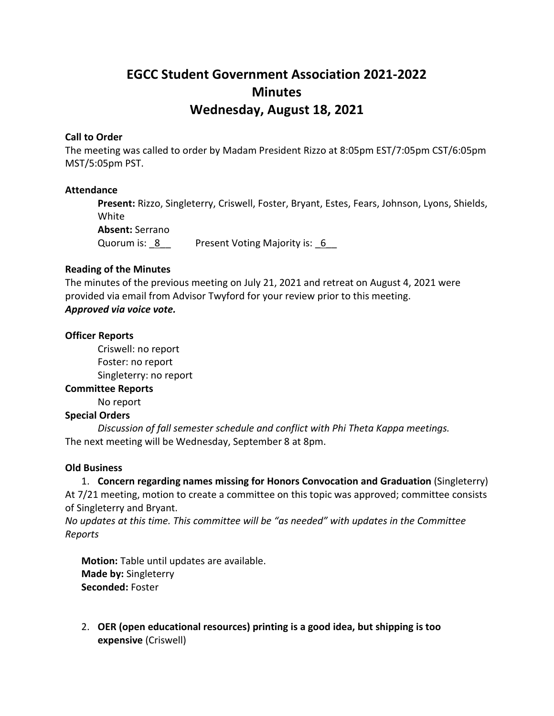# **EGCC Student Government Association 2021-2022 Minutes Wednesday, August 18, 2021**

#### **Call to Order**

The meeting was called to order by Madam President Rizzo at 8:05pm EST/7:05pm CST/6:05pm MST/5:05pm PST.

#### **Attendance**

**Present:** Rizzo, Singleterry, Criswell, Foster, Bryant, Estes, Fears, Johnson, Lyons, Shields, White **Absent:** Serrano Quorum is: 8 Present Voting Majority is: 6

#### **Reading of the Minutes**

The minutes of the previous meeting on July 21, 2021 and retreat on August 4, 2021 were provided via email from Advisor Twyford for your review prior to this meeting. *Approved via voice vote.*

#### **Officer Reports**

Criswell: no report Foster: no report Singleterry: no report

#### **Committee Reports**

No report

# **Special Orders**

*Discussion of fall semester schedule and conflict with Phi Theta Kappa meetings.* The next meeting will be Wednesday, September 8 at 8pm.

#### **Old Business**

1. **Concern regarding names missing for Honors Convocation and Graduation** (Singleterry) At 7/21 meeting, motion to create a committee on this topic was approved; committee consists of Singleterry and Bryant.

*No updates at this time. This committee will be "as needed" with updates in the Committee Reports*

**Motion:** Table until updates are available. **Made by:** Singleterry **Seconded:** Foster

2. **OER (open educational resources) printing is a good idea, but shipping is too expensive** (Criswell)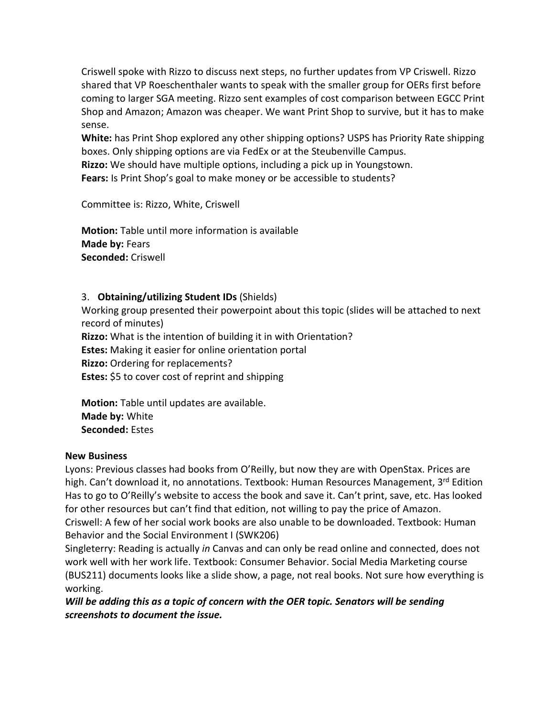Criswell spoke with Rizzo to discuss next steps, no further updates from VP Criswell. Rizzo shared that VP Roeschenthaler wants to speak with the smaller group for OERs first before coming to larger SGA meeting. Rizzo sent examples of cost comparison between EGCC Print Shop and Amazon; Amazon was cheaper. We want Print Shop to survive, but it has to make sense.

**White:** has Print Shop explored any other shipping options? USPS has Priority Rate shipping boxes. Only shipping options are via FedEx or at the Steubenville Campus.

**Rizzo:** We should have multiple options, including a pick up in Youngstown.

**Fears:** Is Print Shop's goal to make money or be accessible to students?

Committee is: Rizzo, White, Criswell

**Motion:** Table until more information is available **Made by:** Fears **Seconded:** Criswell

# 3. **Obtaining/utilizing Student IDs** (Shields)

Working group presented their powerpoint about this topic (slides will be attached to next record of minutes) **Rizzo:** What is the intention of building it in with Orientation? **Estes:** Making it easier for online orientation portal **Rizzo:** Ordering for replacements? **Estes:** \$5 to cover cost of reprint and shipping

**Motion:** Table until updates are available. **Made by:** White **Seconded:** Estes

# **New Business**

Lyons: Previous classes had books from O'Reilly, but now they are with OpenStax. Prices are high. Can't download it, no annotations. Textbook: Human Resources Management, 3rd Edition Has to go to O'Reilly's website to access the book and save it. Can't print, save, etc. Has looked for other resources but can't find that edition, not willing to pay the price of Amazon. Criswell: A few of her social work books are also unable to be downloaded. Textbook: Human Behavior and the Social Environment I (SWK206)

Singleterry: Reading is actually *in* Canvas and can only be read online and connected, does not work well with her work life. Textbook: Consumer Behavior. Social Media Marketing course (BUS211) documents looks like a slide show, a page, not real books. Not sure how everything is working.

*Will be adding this as a topic of concern with the OER topic. Senators will be sending screenshots to document the issue.*